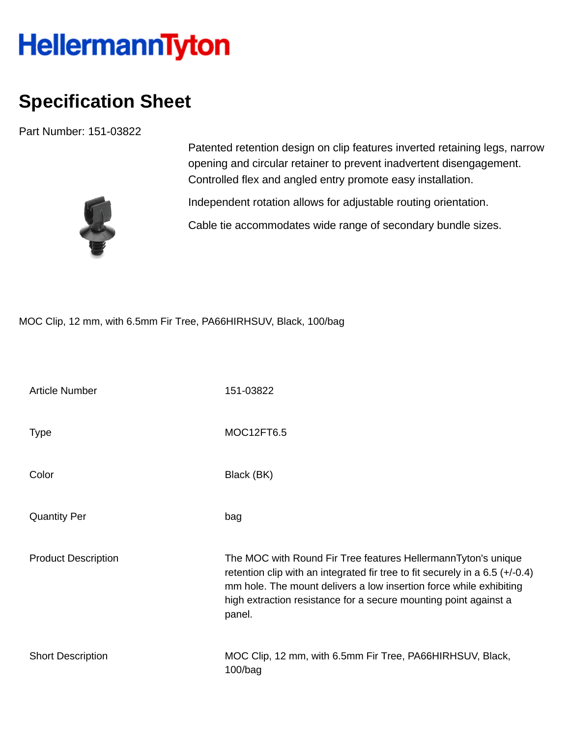## **HellermannTyton**

## **Specification Sheet**

Part Number: 151-03822



Patented retention design on clip features inverted retaining legs, narrow opening and circular retainer to prevent inadvertent disengagement. Controlled flex and angled entry promote easy installation.

Independent rotation allows for adjustable routing orientation.

Cable tie accommodates wide range of secondary bundle sizes.

MOC Clip, 12 mm, with 6.5mm Fir Tree, PA66HIRHSUV, Black, 100/bag

| <b>Article Number</b>      | 151-03822                                                                                                                                                                                                                                                                                           |
|----------------------------|-----------------------------------------------------------------------------------------------------------------------------------------------------------------------------------------------------------------------------------------------------------------------------------------------------|
| <b>Type</b>                | MOC12FT6.5                                                                                                                                                                                                                                                                                          |
| Color                      | Black (BK)                                                                                                                                                                                                                                                                                          |
| <b>Quantity Per</b>        | bag                                                                                                                                                                                                                                                                                                 |
| <b>Product Description</b> | The MOC with Round Fir Tree features HellermannTyton's unique<br>retention clip with an integrated fir tree to fit securely in a 6.5 $(+/-0.4)$<br>mm hole. The mount delivers a low insertion force while exhibiting<br>high extraction resistance for a secure mounting point against a<br>panel. |
| <b>Short Description</b>   | MOC Clip, 12 mm, with 6.5mm Fir Tree, PA66HIRHSUV, Black,<br>$100/b$ ag                                                                                                                                                                                                                             |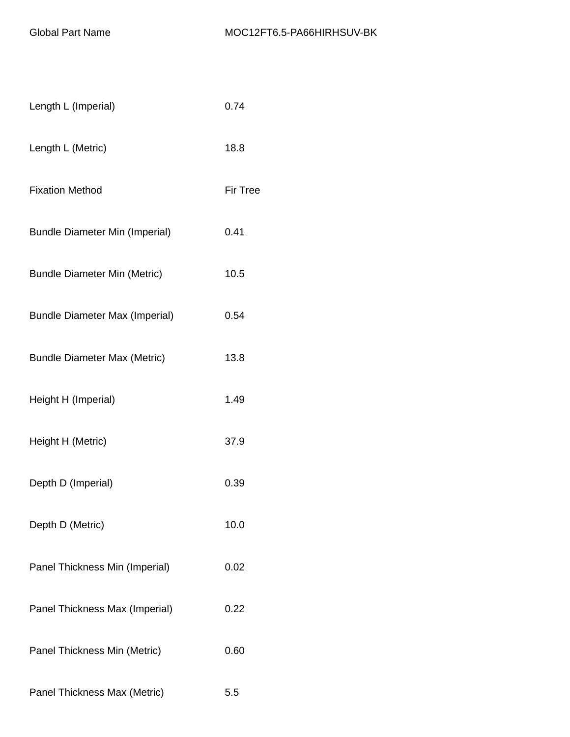| Length L (Imperial)                   | 0.74            |
|---------------------------------------|-----------------|
| Length L (Metric)                     | 18.8            |
| <b>Fixation Method</b>                | <b>Fir Tree</b> |
| <b>Bundle Diameter Min (Imperial)</b> | 0.41            |
| <b>Bundle Diameter Min (Metric)</b>   | 10.5            |
| <b>Bundle Diameter Max (Imperial)</b> | 0.54            |
| <b>Bundle Diameter Max (Metric)</b>   | 13.8            |
| Height H (Imperial)                   | 1.49            |
| Height H (Metric)                     | 37.9            |
| Depth D (Imperial)                    | 0.39            |
| Depth D (Metric)                      | 10.0            |
| Panel Thickness Min (Imperial)        | 0.02            |
| Panel Thickness Max (Imperial)        | 0.22            |
| Panel Thickness Min (Metric)          | 0.60            |
| Panel Thickness Max (Metric)          | 5.5             |